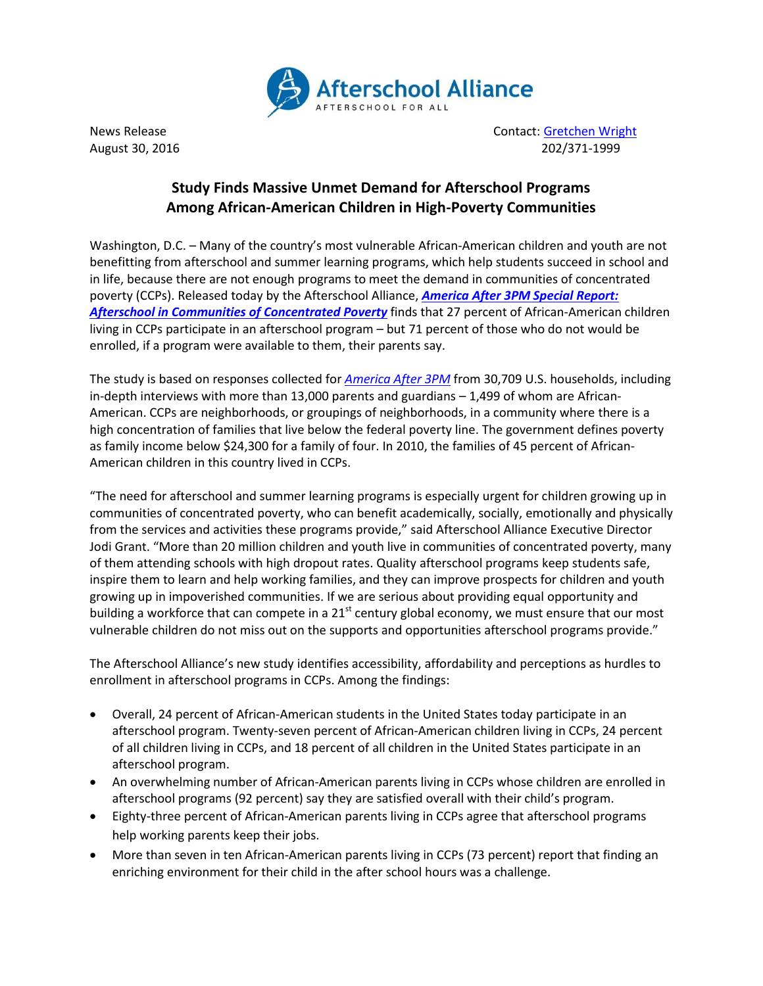

News Release **Contact: [Gretchen Wright](mailto:gretchen@prsolutionsdc.com)** Contact: Gretchen Wright August 30, 2016 202/371-1999

## **Study Finds Massive Unmet Demand for Afterschool Programs Among African-American Children in High-Poverty Communities**

Washington, D.C. – Many of the country's most vulnerable African-American children and youth are not benefitting from afterschool and summer learning programs, which help students succeed in school and in life, because there are not enough programs to meet the demand in communities of concentrated poverty (CCPs). Released today by the Afterschool Alliance, *[America After 3PM Special Report:](http://www.afterschoolalliance.org/AA3PM/Concentrated_Poverty.pdf) Afterschool in [Communities of Concentrated Poverty](http://www.afterschoolalliance.org/AA3PM/Concentrated_Poverty.pdf)* finds that 27 percent of African-American children living in CCPs participate in an afterschool program – but 71 percent of those who do not would be enrolled, if a program were available to them, their parents say.

The study is based on responses collected for *[America After 3PM](http://www.afterschoolalliance.org/AA3PM/)* from 30,709 U.S. households, including in-depth interviews with more than 13,000 parents and guardians – 1,499 of whom are African-American. CCPs are neighborhoods, or groupings of neighborhoods, in a community where there is a high concentration of families that live below the federal poverty line. The government defines poverty as family income below \$24,300 for a family of four. In 2010, the families of 45 percent of African-American children in this country lived in CCPs.

"The need for afterschool and summer learning programs is especially urgent for children growing up in communities of concentrated poverty, who can benefit academically, socially, emotionally and physically from the services and activities these programs provide," said Afterschool Alliance Executive Director Jodi Grant. "More than 20 million children and youth live in communities of concentrated poverty, many of them attending schools with high dropout rates. Quality afterschool programs keep students safe, inspire them to learn and help working families, and they can improve prospects for children and youth growing up in impoverished communities. If we are serious about providing equal opportunity and building a workforce that can compete in a  $21<sup>st</sup>$  century global economy, we must ensure that our most vulnerable children do not miss out on the supports and opportunities afterschool programs provide."

The Afterschool Alliance's new study identifies accessibility, affordability and perceptions as hurdles to enrollment in afterschool programs in CCPs. Among the findings:

- Overall, 24 percent of African-American students in the United States today participate in an afterschool program. Twenty-seven percent of African-American children living in CCPs, 24 percent of all children living in CCPs, and 18 percent of all children in the United States participate in an afterschool program.
- An overwhelming number of African-American parents living in CCPs whose children are enrolled in afterschool programs (92 percent) say they are satisfied overall with their child's program.
- Eighty-three percent of African-American parents living in CCPs agree that afterschool programs help working parents keep their jobs.
- More than seven in ten African-American parents living in CCPs (73 percent) report that finding an enriching environment for their child in the after school hours was a challenge.